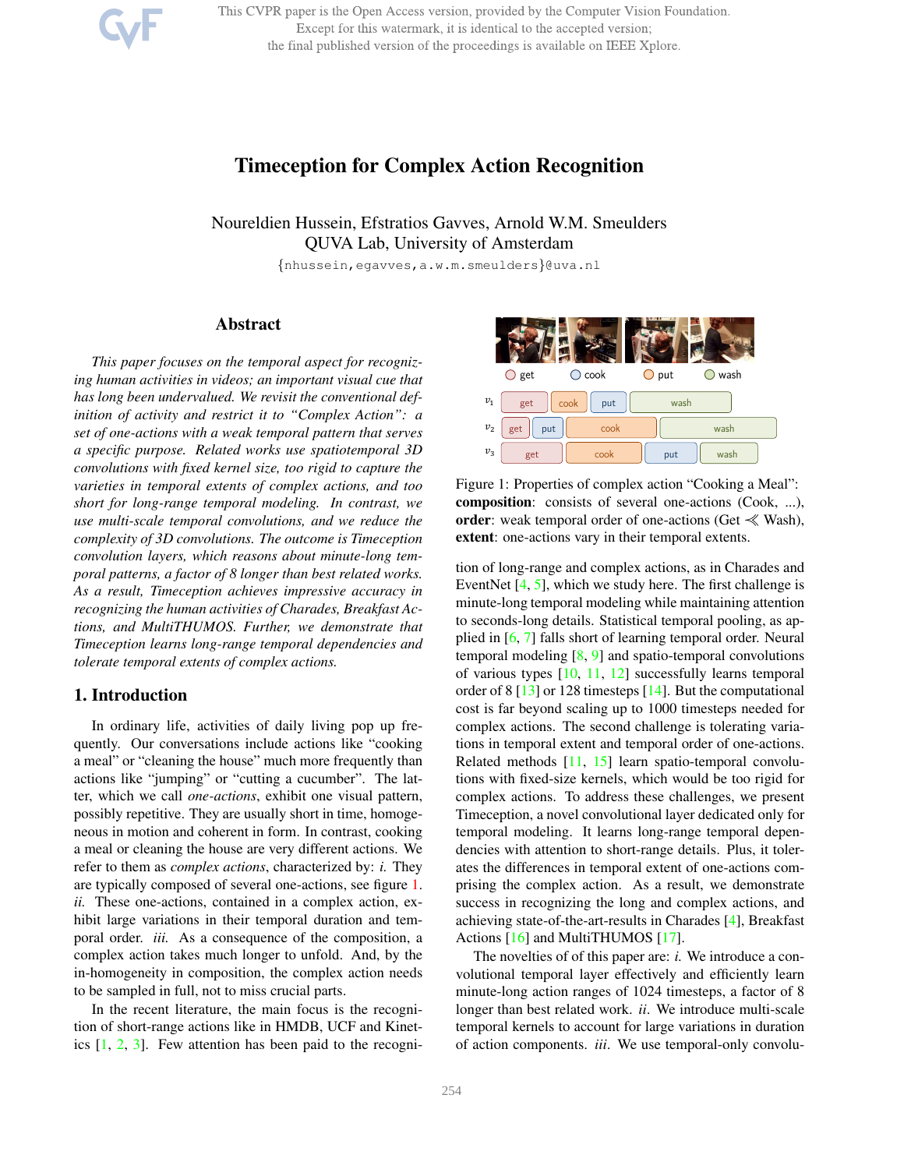This CVPR paper is the Open Access version, provided by the Computer Vision Foundation. Except for this watermark, it is identical to the accepted version; the final published version of the proceedings is available on IEEE Xplore.

# Timeception for Complex Action Recognition

Noureldien Hussein, Efstratios Gavves, Arnold W.M. Smeulders QUVA Lab, University of Amsterdam

{nhussein,egavves,a.w.m.smeulders}@uva.nl

# Abstract

*This paper focuses on the temporal aspect for recognizing human activities in videos; an important visual cue that has long been undervalued. We revisit the conventional definition of activity and restrict it to "Complex Action": a set of one-actions with a weak temporal pattern that serves a specific purpose. Related works use spatiotemporal 3D convolutions with fixed kernel size, too rigid to capture the varieties in temporal extents of complex actions, and too short for long-range temporal modeling. In contrast, we use multi-scale temporal convolutions, and we reduce the complexity of 3D convolutions. The outcome is Timeception convolution layers, which reasons about minute-long temporal patterns, a factor of 8 longer than best related works. As a result, Timeception achieves impressive accuracy in recognizing the human activities of Charades, Breakfast Actions, and MultiTHUMOS. Further, we demonstrate that Timeception learns long-range temporal dependencies and tolerate temporal extents of complex actions.*

## 1. Introduction

In ordinary life, activities of daily living pop up frequently. Our conversations include actions like "cooking a meal" or "cleaning the house" much more frequently than actions like "jumping" or "cutting a cucumber". The latter, which we call *one-actions*, exhibit one visual pattern, possibly repetitive. They are usually short in time, homogeneous in motion and coherent in form. In contrast, cooking a meal or cleaning the house are very different actions. We refer to them as *complex actions*, characterized by: *i.* They are typically composed of several one-actions, see figure 1. *ii.* These one-actions, contained in a complex action, exhibit large variations in their temporal duration and temporal order. *iii.* As a consequence of the composition, a complex action takes much longer to unfold. And, by the in-homogeneity in composition, the complex action needs to be sampled in full, not to miss crucial parts.

In the recent literature, the main focus is the recognition of short-range actions like in HMDB, UCF and Kinetics  $[1, 2, 3]$ . Few attention has been paid to the recogni-



Figure 1: Properties of complex action "Cooking a Meal": composition: consists of several one-actions (Cook, ...), order: weak temporal order of one-actions (Get  $\ll$  Wash), extent: one-actions vary in their temporal extents.

tion of long-range and complex actions, as in Charades and EventNet [4, 5], which we study here. The first challenge is minute-long temporal modeling while maintaining attention to seconds-long details. Statistical temporal pooling, as applied in [6, 7] falls short of learning temporal order. Neural temporal modeling  $[8, 9]$  and spatio-temporal convolutions of various types [10, 11, 12] successfully learns temporal order of 8 [13] or 128 timesteps [14]. But the computational cost is far beyond scaling up to 1000 timesteps needed for complex actions. The second challenge is tolerating variations in temporal extent and temporal order of one-actions. Related methods [11, 15] learn spatio-temporal convolutions with fixed-size kernels, which would be too rigid for complex actions. To address these challenges, we present Timeception, a novel convolutional layer dedicated only for temporal modeling. It learns long-range temporal dependencies with attention to short-range details. Plus, it tolerates the differences in temporal extent of one-actions comprising the complex action. As a result, we demonstrate success in recognizing the long and complex actions, and achieving state-of-the-art-results in Charades [4], Breakfast Actions [16] and MultiTHUMOS [17].

The novelties of of this paper are: *i.* We introduce a convolutional temporal layer effectively and efficiently learn minute-long action ranges of 1024 timesteps, a factor of 8 longer than best related work. *ii*. We introduce multi-scale temporal kernels to account for large variations in duration of action components. *iii*. We use temporal-only convolu-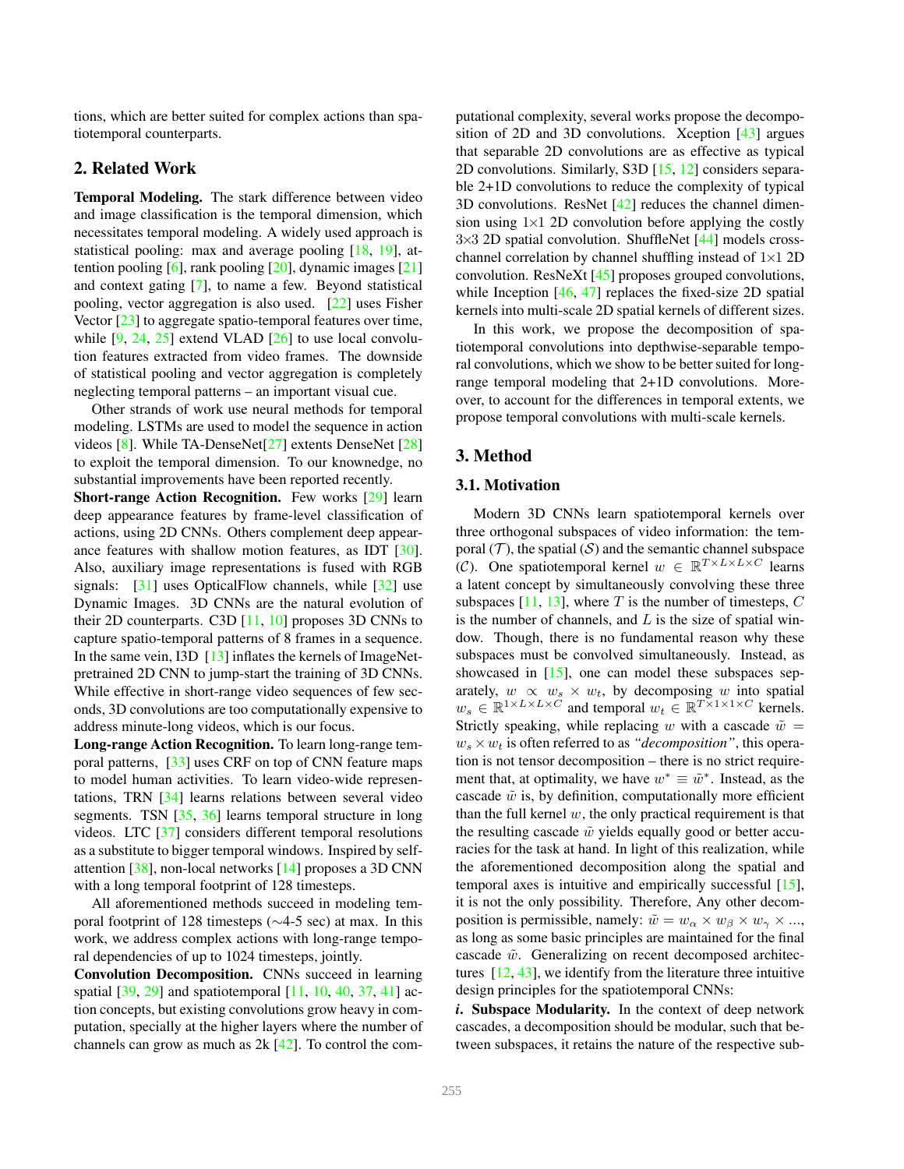tions, which are better suited for complex actions than spatiotemporal counterparts.

# 2. Related Work

Temporal Modeling. The stark difference between video and image classification is the temporal dimension, which necessitates temporal modeling. A widely used approach is statistical pooling: max and average pooling [18, 19], attention pooling  $[6]$ , rank pooling  $[20]$ , dynamic images  $[21]$ and context gating [7], to name a few. Beyond statistical pooling, vector aggregation is also used. [22] uses Fisher Vector [23] to aggregate spatio-temporal features over time, while  $[9, 24, 25]$  extend VLAD  $[26]$  to use local convolution features extracted from video frames. The downside of statistical pooling and vector aggregation is completely neglecting temporal patterns – an important visual cue.

Other strands of work use neural methods for temporal modeling. LSTMs are used to model the sequence in action videos [8]. While TA-DenseNet[27] extents DenseNet [28] to exploit the temporal dimension. To our knownedge, no substantial improvements have been reported recently. Short-range Action Recognition. Few works [29] learn

deep appearance features by frame-level classification of actions, using 2D CNNs. Others complement deep appearance features with shallow motion features, as IDT [30]. Also, auxiliary image representations is fused with RGB signals: [31] uses OpticalFlow channels, while [32] use Dynamic Images. 3D CNNs are the natural evolution of their 2D counterparts. C3D [11, 10] proposes 3D CNNs to capture spatio-temporal patterns of 8 frames in a sequence. In the same vein, I3D [13] inflates the kernels of ImageNetpretrained 2D CNN to jump-start the training of 3D CNNs. While effective in short-range video sequences of few seconds, 3D convolutions are too computationally expensive to address minute-long videos, which is our focus.

Long-range Action Recognition. To learn long-range temporal patterns, [33] uses CRF on top of CNN feature maps to model human activities. To learn video-wide representations, TRN [34] learns relations between several video segments. TSN [35, 36] learns temporal structure in long videos. LTC [37] considers different temporal resolutions as a substitute to bigger temporal windows. Inspired by selfattention [38], non-local networks [14] proposes a 3D CNN with a long temporal footprint of 128 timesteps.

All aforementioned methods succeed in modeling temporal footprint of 128 timesteps (∼4-5 sec) at max. In this work, we address complex actions with long-range temporal dependencies of up to 1024 timesteps, jointly.

Convolution Decomposition. CNNs succeed in learning spatial [39, 29] and spatiotemporal [11, 10, 40, 37, 41] action concepts, but existing convolutions grow heavy in computation, specially at the higher layers where the number of channels can grow as much as 2k [42]. To control the computational complexity, several works propose the decomposition of 2D and 3D convolutions. Xception [43] argues that separable 2D convolutions are as effective as typical 2D convolutions. Similarly, S3D [15, 12] considers separable 2+1D convolutions to reduce the complexity of typical 3D convolutions. ResNet [42] reduces the channel dimension using  $1\times1$  2D convolution before applying the costly  $3\times3$  2D spatial convolution. ShuffleNet [44] models crosschannel correlation by channel shuffling instead of  $1\times1$  2D convolution. ResNeXt [45] proposes grouped convolutions, while Inception [46, 47] replaces the fixed-size 2D spatial kernels into multi-scale 2D spatial kernels of different sizes.

In this work, we propose the decomposition of spatiotemporal convolutions into depthwise-separable temporal convolutions, which we show to be better suited for longrange temporal modeling that 2+1D convolutions. Moreover, to account for the differences in temporal extents, we propose temporal convolutions with multi-scale kernels.

# 3. Method

#### 3.1. Motivation

Modern 3D CNNs learn spatiotemporal kernels over three orthogonal subspaces of video information: the temporal  $(T)$ , the spatial  $(S)$  and the semantic channel subspace (C). One spatiotemporal kernel  $w \in \mathbb{R}^{T \times L \times L \times C}$  learns a latent concept by simultaneously convolving these three subspaces [11, 13], where T is the number of timesteps,  $C$ is the number of channels, and  $L$  is the size of spatial window. Though, there is no fundamental reason why these subspaces must be convolved simultaneously. Instead, as showcased in  $[15]$ , one can model these subspaces separately,  $w \propto w_s \times w_t$ , by decomposing w into spatial  $w_s \in \mathbb{R}^{1 \times L \times L \times C}$  and temporal  $w_t \in \mathbb{R}^{T \times 1 \times 1 \times C}$  kernels. Strictly speaking, while replacing w with a cascade  $\tilde{w} =$  $w_s \times w_t$  is often referred to as *"decomposition"*, this operation is not tensor decomposition – there is no strict requirement that, at optimality, we have  $w^* \equiv \tilde{w}^*$ . Instead, as the cascade  $\tilde{w}$  is, by definition, computationally more efficient than the full kernel  $w$ , the only practical requirement is that the resulting cascade  $\tilde{w}$  yields equally good or better accuracies for the task at hand. In light of this realization, while the aforementioned decomposition along the spatial and temporal axes is intuitive and empirically successful [15], it is not the only possibility. Therefore, Any other decomposition is permissible, namely:  $\tilde{w} = w_\alpha \times w_\beta \times w_\gamma \times ...$ as long as some basic principles are maintained for the final cascade  $\tilde{w}$ . Generalizing on recent decomposed architectures  $[12, 43]$ , we identify from the literature three intuitive design principles for the spatiotemporal CNNs:

*i*. Subspace Modularity. In the context of deep network cascades, a decomposition should be modular, such that between subspaces, it retains the nature of the respective sub-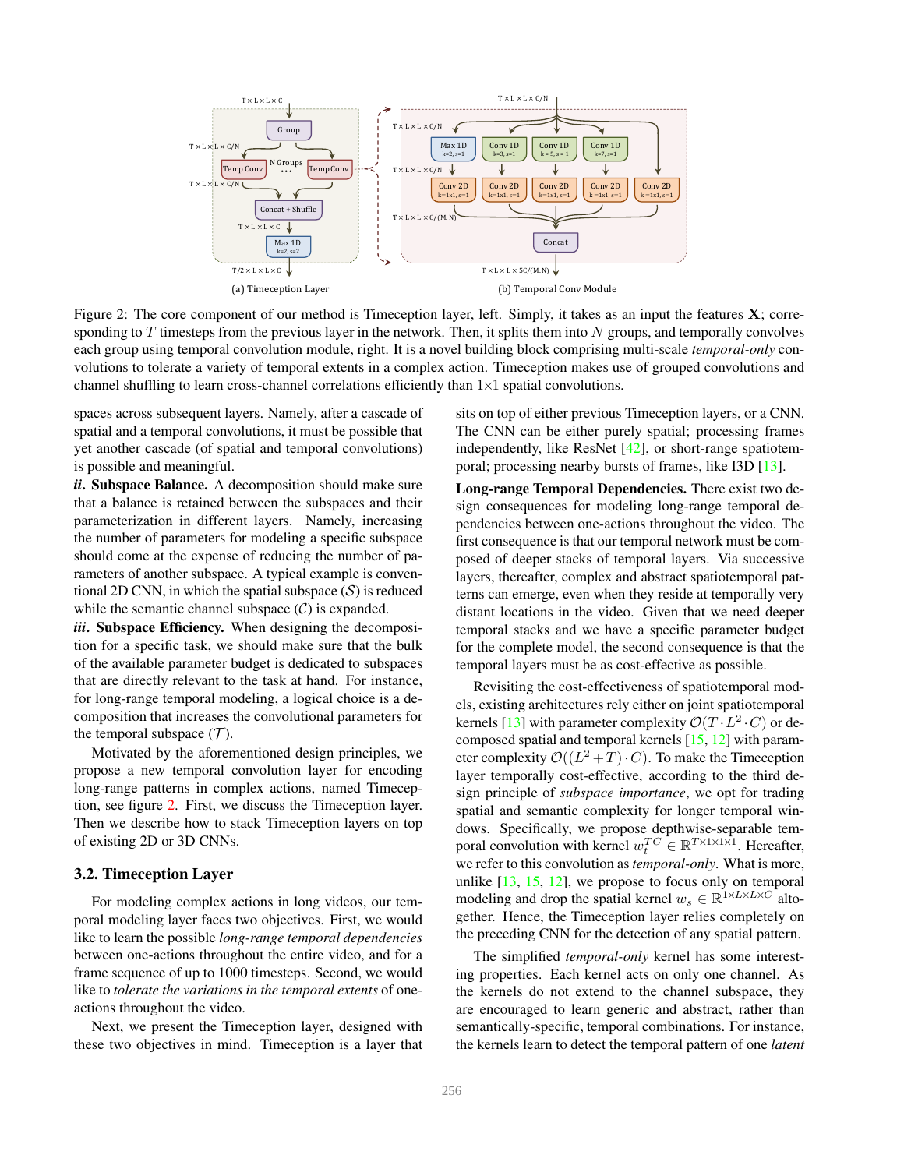

Figure 2: The core component of our method is Timeception layer, left. Simply, it takes as an input the features  $X$ ; corresponding to  $T$  timesteps from the previous layer in the network. Then, it splits them into  $N$  groups, and temporally convolves each group using temporal convolution module, right. It is a novel building block comprising multi-scale *temporal-only* convolutions to tolerate a variety of temporal extents in a complex action. Timeception makes use of grouped convolutions and channel shuffling to learn cross-channel correlations efficiently than  $1\times1$  spatial convolutions.

spaces across subsequent layers. Namely, after a cascade of spatial and a temporal convolutions, it must be possible that yet another cascade (of spatial and temporal convolutions) is possible and meaningful.

*ii*. Subspace Balance. A decomposition should make sure that a balance is retained between the subspaces and their parameterization in different layers. Namely, increasing the number of parameters for modeling a specific subspace should come at the expense of reducing the number of parameters of another subspace. A typical example is conventional 2D CNN, in which the spatial subspace  $(S)$  is reduced while the semantic channel subspace  $(C)$  is expanded.

*iii*. Subspace Efficiency. When designing the decomposition for a specific task, we should make sure that the bulk of the available parameter budget is dedicated to subspaces that are directly relevant to the task at hand. For instance, for long-range temporal modeling, a logical choice is a decomposition that increases the convolutional parameters for the temporal subspace  $(\mathcal{T})$ .

Motivated by the aforementioned design principles, we propose a new temporal convolution layer for encoding long-range patterns in complex actions, named Timeception, see figure 2. First, we discuss the Timeception layer. Then we describe how to stack Timeception layers on top of existing 2D or 3D CNNs.

#### 3.2. Timeception Layer

For modeling complex actions in long videos, our temporal modeling layer faces two objectives. First, we would like to learn the possible *long-range temporal dependencies* between one-actions throughout the entire video, and for a frame sequence of up to 1000 timesteps. Second, we would like to *tolerate the variations in the temporal extents* of oneactions throughout the video.

Next, we present the Timeception layer, designed with these two objectives in mind. Timeception is a layer that sits on top of either previous Timeception layers, or a CNN. The CNN can be either purely spatial; processing frames independently, like ResNet  $[42]$ , or short-range spatiotemporal; processing nearby bursts of frames, like I3D [13].

Long-range Temporal Dependencies. There exist two design consequences for modeling long-range temporal dependencies between one-actions throughout the video. The first consequence is that our temporal network must be composed of deeper stacks of temporal layers. Via successive layers, thereafter, complex and abstract spatiotemporal patterns can emerge, even when they reside at temporally very distant locations in the video. Given that we need deeper temporal stacks and we have a specific parameter budget for the complete model, the second consequence is that the temporal layers must be as cost-effective as possible.

Revisiting the cost-effectiveness of spatiotemporal models, existing architectures rely either on joint spatiotemporal kernels [13] with parameter complexity  $\mathcal{O}(T \cdot L^2 \cdot C)$  or decomposed spatial and temporal kernels [15, 12] with parameter complexity  $\mathcal{O}((L^2+T)\cdot C)$ . To make the Timeception layer temporally cost-effective, according to the third design principle of *subspace importance*, we opt for trading spatial and semantic complexity for longer temporal windows. Specifically, we propose depthwise-separable temporal convolution with kernel  $w_t^{TC} \in \mathbb{R}^{T \times 1 \times 1 \times 1}$ . Hereafter, we refer to this convolution as*temporal-only*. What is more, unlike  $[13, 15, 12]$ , we propose to focus only on temporal modeling and drop the spatial kernel  $w_s \in \mathbb{R}^{1 \times L \times L \times C}$  altogether. Hence, the Timeception layer relies completely on the preceding CNN for the detection of any spatial pattern.

The simplified *temporal-only* kernel has some interesting properties. Each kernel acts on only one channel. As the kernels do not extend to the channel subspace, they are encouraged to learn generic and abstract, rather than semantically-specific, temporal combinations. For instance, the kernels learn to detect the temporal pattern of one *latent*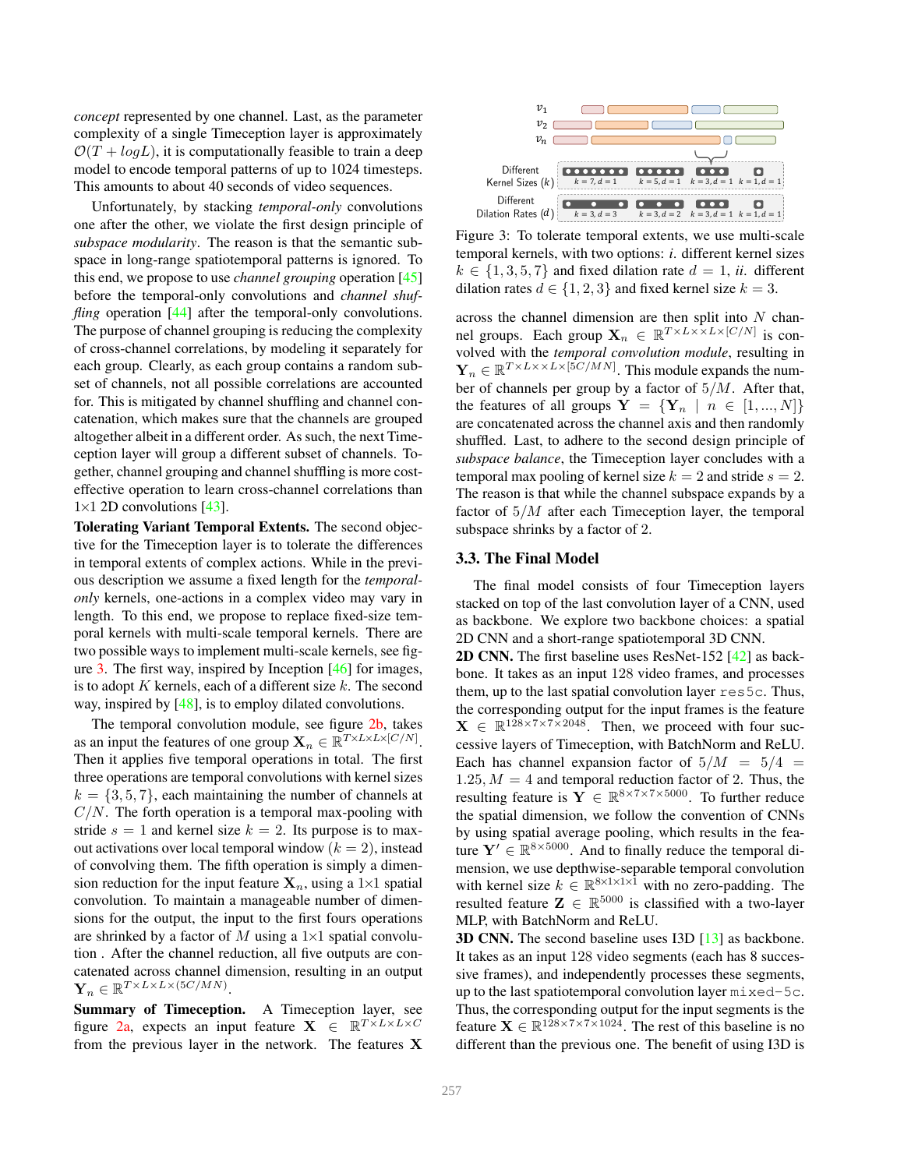*concept* represented by one channel. Last, as the parameter complexity of a single Timeception layer is approximately  $\mathcal{O}(T + log L)$ , it is computationally feasible to train a deep model to encode temporal patterns of up to 1024 timesteps. This amounts to about 40 seconds of video sequences.

Unfortunately, by stacking *temporal-only* convolutions one after the other, we violate the first design principle of *subspace modularity*. The reason is that the semantic subspace in long-range spatiotemporal patterns is ignored. To this end, we propose to use *channel grouping* operation [45] before the temporal-only convolutions and *channel shuffling* operation [44] after the temporal-only convolutions. The purpose of channel grouping is reducing the complexity of cross-channel correlations, by modeling it separately for each group. Clearly, as each group contains a random subset of channels, not all possible correlations are accounted for. This is mitigated by channel shuffling and channel concatenation, which makes sure that the channels are grouped altogether albeit in a different order. As such, the next Timeception layer will group a different subset of channels. Together, channel grouping and channel shuffling is more costeffective operation to learn cross-channel correlations than  $1\times1$  2D convolutions [43].

Tolerating Variant Temporal Extents. The second objective for the Timeception layer is to tolerate the differences in temporal extents of complex actions. While in the previous description we assume a fixed length for the *temporalonly* kernels, one-actions in a complex video may vary in length. To this end, we propose to replace fixed-size temporal kernels with multi-scale temporal kernels. There are two possible ways to implement multi-scale kernels, see figure 3. The first way, inspired by Inception [46] for images, is to adopt K kernels, each of a different size  $k$ . The second way, inspired by [48], is to employ dilated convolutions.

The temporal convolution module, see figure 2b, takes as an input the features of one group  $\mathbf{X}_n \in \mathbb{R}^{T \times L \times L \times [C/N]}$ . Then it applies five temporal operations in total. The first three operations are temporal convolutions with kernel sizes  $k = \{3, 5, 7\}$ , each maintaining the number of channels at  $C/N$ . The forth operation is a temporal max-pooling with stride  $s = 1$  and kernel size  $k = 2$ . Its purpose is to maxout activations over local temporal window  $(k = 2)$ , instead of convolving them. The fifth operation is simply a dimension reduction for the input feature  $X_n$ , using a 1×1 spatial convolution. To maintain a manageable number of dimensions for the output, the input to the first fours operations are shrinked by a factor of M using a  $1\times1$  spatial convolution . After the channel reduction, all five outputs are concatenated across channel dimension, resulting in an output  $\mathbf{Y}_n \in \mathbb{R}^{T \times L \times L \times (5C/MN)}$ .

Summary of Timeception. A Timeception layer, see figure 2a, expects an input feature  $X \in \mathbb{R}^{T \times L \times L \times C}$ from the previous layer in the network. The features  $X$ 



Figure 3: To tolerate temporal extents, we use multi-scale temporal kernels, with two options: *i*. different kernel sizes  $k \in \{1, 3, 5, 7\}$  and fixed dilation rate  $d = 1$ , *ii*. different dilation rates  $d \in \{1, 2, 3\}$  and fixed kernel size  $k = 3$ .

across the channel dimension are then split into  $N$  channel groups. Each group  $\mathbf{X}_n \in \mathbb{R}^{T \times L \times \times L \times [C/N]}$  is convolved with the *temporal convolution module*, resulting in  $\mathbf{Y}_n \in \mathbb{R}^{T \times L \times \times L \times [5C/MN]}$ . This module expands the number of channels per group by a factor of 5/M. After that, the features of all groups  $Y = \{Y_n \mid n \in [1, ..., N]\}$ are concatenated across the channel axis and then randomly shuffled. Last, to adhere to the second design principle of *subspace balance*, the Timeception layer concludes with a temporal max pooling of kernel size  $k = 2$  and stride  $s = 2$ . The reason is that while the channel subspace expands by a factor of  $5/M$  after each Timeception layer, the temporal subspace shrinks by a factor of 2.

### 3.3. The Final Model

The final model consists of four Timeception layers stacked on top of the last convolution layer of a CNN, used as backbone. We explore two backbone choices: a spatial 2D CNN and a short-range spatiotemporal 3D CNN.

2D CNN. The first baseline uses ResNet-152 [42] as backbone. It takes as an input 128 video frames, and processes them, up to the last spatial convolution layer res5c. Thus, the corresponding output for the input frames is the feature  $\mathbf{X} \in \mathbb{R}^{128 \times 7 \times 7 \times 2048}$ . Then, we proceed with four successive layers of Timeception, with BatchNorm and ReLU. Each has channel expansion factor of  $5/M = 5/4$ 1.25,  $M = 4$  and temporal reduction factor of 2. Thus, the resulting feature is  $\overline{Y} \in \mathbb{R}^{8 \times 7 \times 7 \times 5000}$ . To further reduce the spatial dimension, we follow the convention of CNNs by using spatial average pooling, which results in the feature  $Y' \in \mathbb{R}^{8 \times 5000}$ . And to finally reduce the temporal dimension, we use depthwise-separable temporal convolution with kernel size  $k \in \mathbb{R}^{8 \times 1 \times 1 \times \hat{1}}$  with no zero-padding. The resulted feature  $\mathbf{Z} \in \mathbb{R}^{5000}$  is classified with a two-layer MLP, with BatchNorm and ReLU.

3D CNN. The second baseline uses I3D [13] as backbone. It takes as an input 128 video segments (each has 8 successive frames), and independently processes these segments, up to the last spatiotemporal convolution layer mixed-5c. Thus, the corresponding output for the input segments is the feature  $\mathbf{X} \in \mathbb{R}^{128 \times 7 \times 7 \times 1024}$ . The rest of this baseline is no different than the previous one. The benefit of using I3D is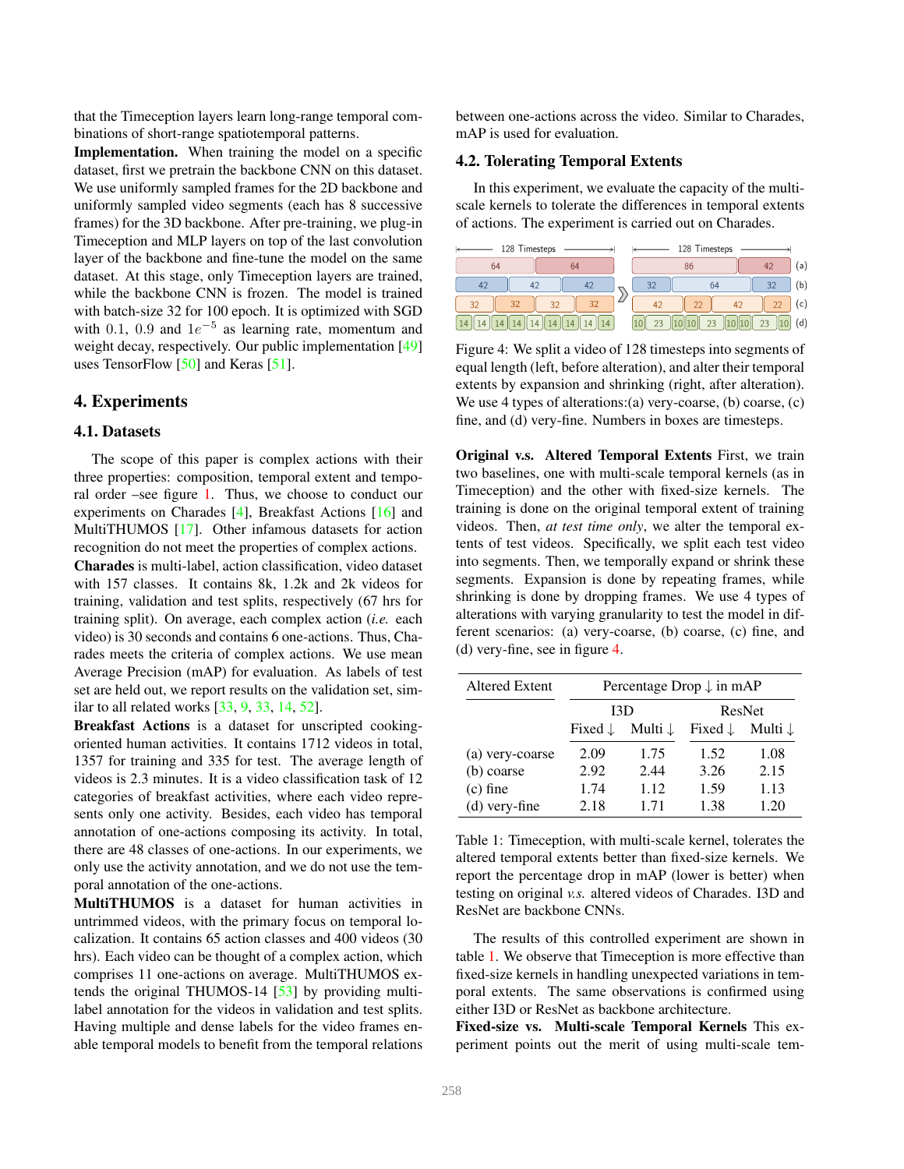that the Timeception layers learn long-range temporal combinations of short-range spatiotemporal patterns.

Implementation. When training the model on a specific dataset, first we pretrain the backbone CNN on this dataset. We use uniformly sampled frames for the 2D backbone and uniformly sampled video segments (each has 8 successive frames) for the 3D backbone. After pre-training, we plug-in Timeception and MLP layers on top of the last convolution layer of the backbone and fine-tune the model on the same dataset. At this stage, only Timeception layers are trained, while the backbone CNN is frozen. The model is trained with batch-size 32 for 100 epoch. It is optimized with SGD with 0.1, 0.9 and  $1e^{-5}$  as learning rate, momentum and weight decay, respectively. Our public implementation [49] uses TensorFlow [50] and Keras [51].

# 4. Experiments

#### 4.1. Datasets

The scope of this paper is complex actions with their three properties: composition, temporal extent and temporal order –see figure 1. Thus, we choose to conduct our experiments on Charades [4], Breakfast Actions [16] and MultiTHUMOS [17]. Other infamous datasets for action recognition do not meet the properties of complex actions.

Charades is multi-label, action classification, video dataset with 157 classes. It contains 8k, 1.2k and 2k videos for training, validation and test splits, respectively (67 hrs for training split). On average, each complex action (*i.e.* each video) is 30 seconds and contains 6 one-actions. Thus, Charades meets the criteria of complex actions. We use mean Average Precision (mAP) for evaluation. As labels of test set are held out, we report results on the validation set, similar to all related works [33, 9, 33, 14, 52].

Breakfast Actions is a dataset for unscripted cookingoriented human activities. It contains 1712 videos in total, 1357 for training and 335 for test. The average length of videos is 2.3 minutes. It is a video classification task of 12 categories of breakfast activities, where each video represents only one activity. Besides, each video has temporal annotation of one-actions composing its activity. In total, there are 48 classes of one-actions. In our experiments, we only use the activity annotation, and we do not use the temporal annotation of the one-actions.

MultiTHUMOS is a dataset for human activities in untrimmed videos, with the primary focus on temporal localization. It contains 65 action classes and 400 videos (30 hrs). Each video can be thought of a complex action, which comprises 11 one-actions on average. MultiTHUMOS extends the original THUMOS-14 [53] by providing multilabel annotation for the videos in validation and test splits. Having multiple and dense labels for the video frames enable temporal models to benefit from the temporal relations

between one-actions across the video. Similar to Charades, mAP is used for evaluation.

## 4.2. Tolerating Temporal Extents

In this experiment, we evaluate the capacity of the multiscale kernels to tolerate the differences in temporal extents of actions. The experiment is carried out on Charades.

| 128 Timesteps |          |    | 128 Timesteps |    |                      |               |
|---------------|----------|----|---------------|----|----------------------|---------------|
| 64            | 64       |    | 86            |    | 42                   | (a)           |
| 42<br>42      | 42       | 32 | 64            |    | 32                   | (b)           |
| 32<br>32      | 32<br>32 |    | 22            | 42 | 22                   | $\mathsf{c})$ |
| 14            |          | 23 | 23            |    | 23<br>$\overline{0}$ | (d)           |

Figure 4: We split a video of 128 timesteps into segments of equal length (left, before alteration), and alter their temporal extents by expansion and shrinking (right, after alteration). We use 4 types of alterations:(a) very-coarse, (b) coarse, (c) fine, and (d) very-fine. Numbers in boxes are timesteps.

Original v.s. Altered Temporal Extents First, we train two baselines, one with multi-scale temporal kernels (as in Timeception) and the other with fixed-size kernels. The training is done on the original temporal extent of training videos. Then, *at test time only*, we alter the temporal extents of test videos. Specifically, we split each test video into segments. Then, we temporally expand or shrink these segments. Expansion is done by repeating frames, while shrinking is done by dropping frames. We use 4 types of alterations with varying granularity to test the model in different scenarios: (a) very-coarse, (b) coarse, (c) fine, and (d) very-fine, see in figure 4.

| <b>Altered Extent</b> | Percentage Drop $\downarrow$ in mAP |                    |                    |                    |
|-----------------------|-------------------------------------|--------------------|--------------------|--------------------|
|                       | I3D                                 |                    | ResNet             |                    |
|                       | Fixed $\downarrow$                  | Multi $\downarrow$ | Fixed $\downarrow$ | Multi $\downarrow$ |
| (a) very-coarse       | 2.09                                | 1.75               | 1.52               | 1.08               |
| (b) coarse            | 2.92                                | 2.44               | 3.26               | 2.15               |
| $(c)$ fine            | 1.74                                | 1.12               | 1.59               | 1.13               |
| $(d)$ very-fine       | 2.18                                | 1.71               | 1.38               | 1.20               |

Table 1: Timeception, with multi-scale kernel, tolerates the altered temporal extents better than fixed-size kernels. We report the percentage drop in mAP (lower is better) when testing on original *v.s.* altered videos of Charades. I3D and ResNet are backbone CNNs.

The results of this controlled experiment are shown in table 1. We observe that Timeception is more effective than fixed-size kernels in handling unexpected variations in temporal extents. The same observations is confirmed using either I3D or ResNet as backbone architecture.

Fixed-size vs. Multi-scale Temporal Kernels This experiment points out the merit of using multi-scale tem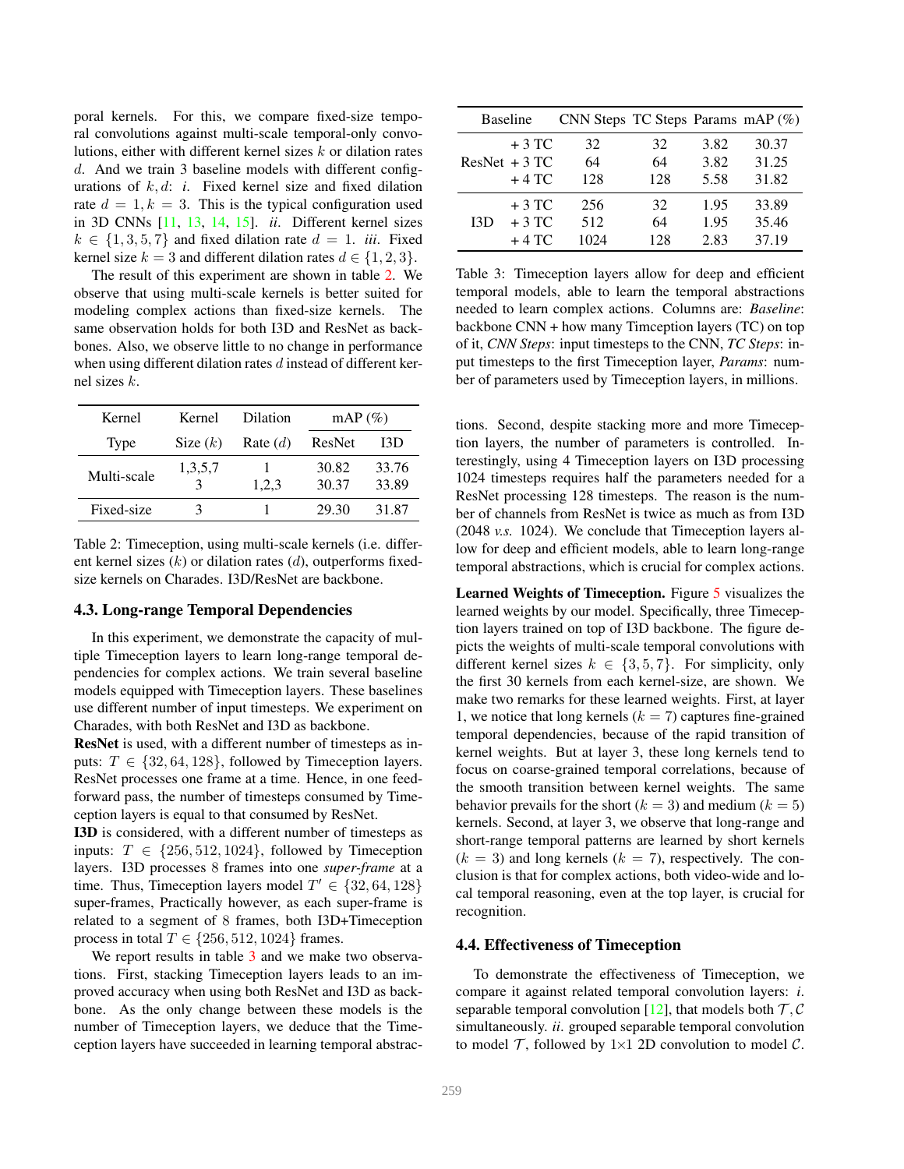poral kernels. For this, we compare fixed-size temporal convolutions against multi-scale temporal-only convolutions, either with different kernel sizes k or dilation rates d. And we train 3 baseline models with different configurations of  $k, d$ : *i*. Fixed kernel size and fixed dilation rate  $d = 1, k = 3$ . This is the typical configuration used in 3D CNNs [11, 13, 14, 15]. *ii*. Different kernel sizes  $k \in \{1, 3, 5, 7\}$  and fixed dilation rate  $d = 1$ . *iii*. Fixed kernel size  $k = 3$  and different dilation rates  $d \in \{1, 2, 3\}.$ 

The result of this experiment are shown in table 2. We observe that using multi-scale kernels is better suited for modeling complex actions than fixed-size kernels. The same observation holds for both I3D and ResNet as backbones. Also, we observe little to no change in performance when using different dilation rates  $d$  instead of different kernel sizes k.

| Kernel      | Kernel       | Dilation   | $mAP(\%)$      |                |
|-------------|--------------|------------|----------------|----------------|
| Type        | Size $(k)$   | Rate $(d)$ | ResNet         | I3D            |
| Multi-scale | 1,3,5,7<br>3 | 1,2,3      | 30.82<br>30.37 | 33.76<br>33.89 |
| Fixed-size  | 3            |            | 29.30          | 31.87          |

Table 2: Timeception, using multi-scale kernels (i.e. different kernel sizes  $(k)$  or dilation rates  $(d)$ , outperforms fixedsize kernels on Charades. I3D/ResNet are backbone.

#### 4.3. Long-range Temporal Dependencies

In this experiment, we demonstrate the capacity of multiple Timeception layers to learn long-range temporal dependencies for complex actions. We train several baseline models equipped with Timeception layers. These baselines use different number of input timesteps. We experiment on Charades, with both ResNet and I3D as backbone.

ResNet is used, with a different number of timesteps as inputs:  $T \in \{32, 64, 128\}$ , followed by Timeception layers. ResNet processes one frame at a time. Hence, in one feedforward pass, the number of timesteps consumed by Timeception layers is equal to that consumed by ResNet.

I3D is considered, with a different number of timesteps as inputs:  $T \in \{256, 512, 1024\}$ , followed by Timeception layers. I3D processes 8 frames into one *super-frame* at a time. Thus, Timeception layers model  $T' \in \{32, 64, 128\}$ super-frames, Practically however, as each super-frame is related to a segment of 8 frames, both I3D+Timeception process in total  $T \in \{256, 512, 1024\}$  frames.

We report results in table 3 and we make two observations. First, stacking Timeception layers leads to an improved accuracy when using both ResNet and I3D as backbone. As the only change between these models is the number of Timeception layers, we deduce that the Timeception layers have succeeded in learning temporal abstrac-

|     | <b>Baseline</b> | CNN Steps TC Steps Params mAP $(\%)$ |     |      |       |
|-----|-----------------|--------------------------------------|-----|------|-------|
|     | $+3$ TC         | 32                                   | 32  | 3.82 | 30.37 |
|     | $ResNet + 3 TC$ | 64                                   | 64  | 3.82 | 31.25 |
|     | $+4$ TC         | 128                                  | 128 | 5.58 | 31.82 |
|     | $+3$ TC         | 256                                  | 32  | 1.95 | 33.89 |
| I3D | $+3$ TC         | 512                                  | 64  | 1.95 | 35.46 |
|     | $+4$ TC         | 1024                                 | 128 | 2.83 | 37.19 |

Table 3: Timeception layers allow for deep and efficient temporal models, able to learn the temporal abstractions needed to learn complex actions. Columns are: *Baseline*: backbone CNN + how many Timception layers (TC) on top of it, *CNN Steps*: input timesteps to the CNN, *TC Steps*: input timesteps to the first Timeception layer, *Params*: number of parameters used by Timeception layers, in millions.

tions. Second, despite stacking more and more Timeception layers, the number of parameters is controlled. Interestingly, using 4 Timeception layers on I3D processing 1024 timesteps requires half the parameters needed for a ResNet processing 128 timesteps. The reason is the number of channels from ResNet is twice as much as from I3D (2048 *v.s.* 1024). We conclude that Timeception layers allow for deep and efficient models, able to learn long-range temporal abstractions, which is crucial for complex actions.

Learned Weights of Timeception. Figure 5 visualizes the learned weights by our model. Specifically, three Timeception layers trained on top of I3D backbone. The figure depicts the weights of multi-scale temporal convolutions with different kernel sizes  $k \in \{3, 5, 7\}$ . For simplicity, only the first 30 kernels from each kernel-size, are shown. We make two remarks for these learned weights. First, at layer 1, we notice that long kernels  $(k = 7)$  captures fine-grained temporal dependencies, because of the rapid transition of kernel weights. But at layer 3, these long kernels tend to focus on coarse-grained temporal correlations, because of the smooth transition between kernel weights. The same behavior prevails for the short  $(k = 3)$  and medium  $(k = 5)$ kernels. Second, at layer 3, we observe that long-range and short-range temporal patterns are learned by short kernels  $(k = 3)$  and long kernels  $(k = 7)$ , respectively. The conclusion is that for complex actions, both video-wide and local temporal reasoning, even at the top layer, is crucial for recognition.

#### 4.4. Effectiveness of Timeception

To demonstrate the effectiveness of Timeception, we compare it against related temporal convolution layers: *i*. separable temporal convolution [12], that models both  $\mathcal{T}, \mathcal{C}$ simultaneously. *ii*. grouped separable temporal convolution to model  $\mathcal{T}$ , followed by 1×1 2D convolution to model  $\mathcal{C}$ .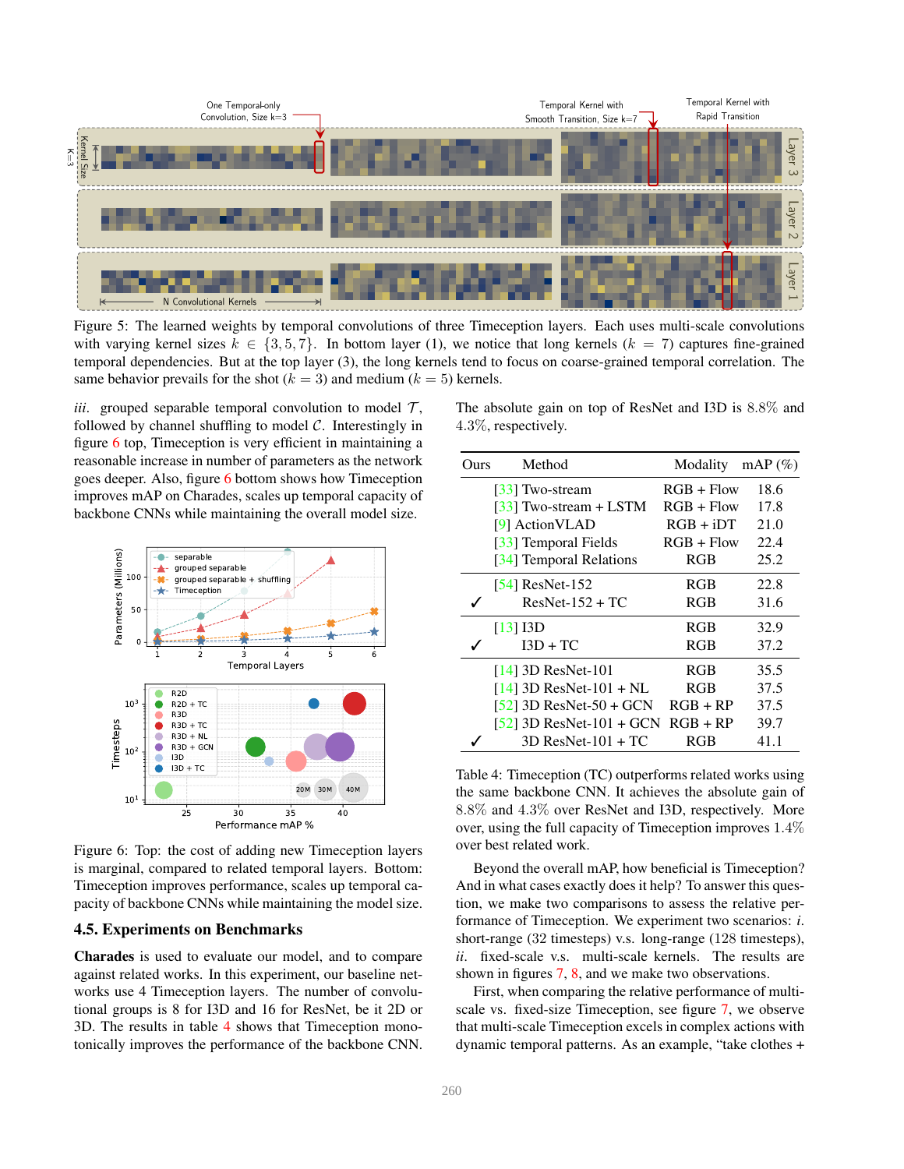

Figure 5: The learned weights by temporal convolutions of three Timeception layers. Each uses multi-scale convolutions with varying kernel sizes  $k \in \{3, 5, 7\}$ . In bottom layer (1), we notice that long kernels  $(k = 7)$  captures fine-grained temporal dependencies. But at the top layer (3), the long kernels tend to focus on coarse-grained temporal correlation. The same behavior prevails for the shot ( $k = 3$ ) and medium ( $k = 5$ ) kernels.

*iii.* grouped separable temporal convolution to model  $\mathcal{T}$ , followed by channel shuffling to model  $C$ . Interestingly in figure 6 top, Timeception is very efficient in maintaining a reasonable increase in number of parameters as the network goes deeper. Also, figure 6 bottom shows how Timeception improves mAP on Charades, scales up temporal capacity of backbone CNNs while maintaining the overall model size.



Figure 6: Top: the cost of adding new Timeception layers is marginal, compared to related temporal layers. Bottom: Timeception improves performance, scales up temporal capacity of backbone CNNs while maintaining the model size.

### 4.5. Experiments on Benchmarks

Charades is used to evaluate our model, and to compare against related works. In this experiment, our baseline networks use 4 Timeception layers. The number of convolutional groups is 8 for I3D and 16 for ResNet, be it 2D or 3D. The results in table 4 shows that Timeception monotonically improves the performance of the backbone CNN. The absolute gain on top of ResNet and I3D is 8.8% and 4.3%, respectively.

| Ours | Method                     | Modality     | $mAP(\%)$ |
|------|----------------------------|--------------|-----------|
|      | [33] Two-stream            | $RGB + Flow$ | 18.6      |
|      | [33] Two-stream $+$ LSTM   | $RGB + Flow$ | 17.8      |
|      | [9] ActionVLAD             | $RGB + iDT$  | 21.0      |
|      | [33] Temporal Fields       | $RGB + Flow$ | 22.4      |
|      | [34] Temporal Relations    | <b>RGB</b>   | 25.2      |
|      | $[54]$ ResNet-152          | <b>RGB</b>   | 22.8      |
|      | $ResNet-152 + TC$          | <b>RGB</b>   | 31.6      |
|      | [13] I3D                   | <b>RGB</b>   | 32.9      |
|      | $I3D + TC$                 | <b>RGB</b>   | 37.2      |
|      | $[14]$ 3D ResNet-101       | <b>RGB</b>   | 35.5      |
|      | $[14]$ 3D ResNet-101 + NL  | <b>RGB</b>   | 37.5      |
|      | $[52]$ 3D ResNet-50 + GCN  | $RGB + RP$   | 37.5      |
|      | $[52]$ 3D ResNet-101 + GCN | $RGB + RP$   | 39.7      |
|      | $3D$ ResNet-101 + TC       | RGB          | 41.1      |

Table 4: Timeception (TC) outperforms related works using the same backbone CNN. It achieves the absolute gain of 8.8% and 4.3% over ResNet and I3D, respectively. More over, using the full capacity of Timeception improves 1.4% over best related work.

Beyond the overall mAP, how beneficial is Timeception? And in what cases exactly does it help? To answer this question, we make two comparisons to assess the relative performance of Timeception. We experiment two scenarios: *i*. short-range (32 timesteps) v.s. long-range (128 timesteps), *ii*. fixed-scale v.s. multi-scale kernels. The results are shown in figures 7, 8, and we make two observations.

First, when comparing the relative performance of multiscale vs. fixed-size Timeception, see figure 7, we observe that multi-scale Timeception excels in complex actions with dynamic temporal patterns. As an example, "take clothes +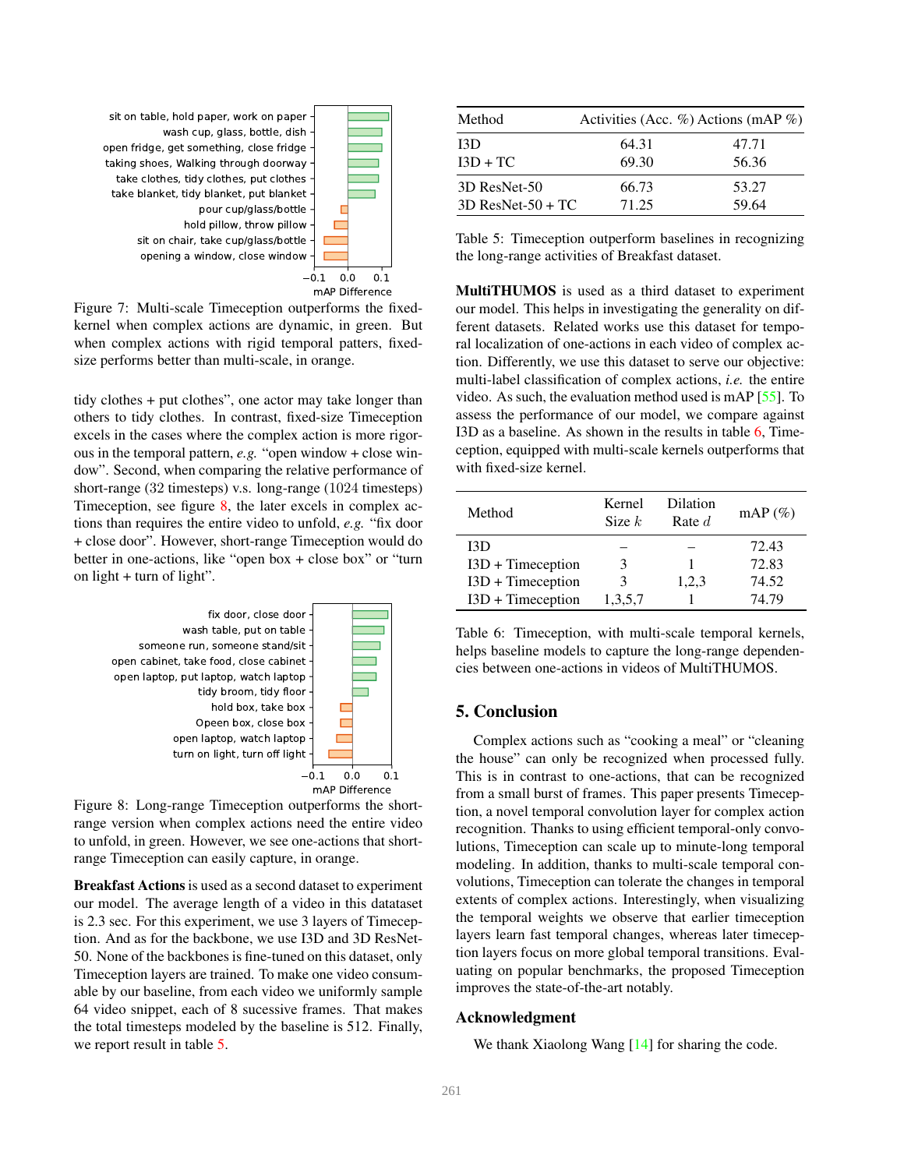

Figure 7: Multi-scale Timeception outperforms the fixedkernel when complex actions are dynamic, in green. But when complex actions with rigid temporal patters, fixedsize performs better than multi-scale, in orange.

tidy clothes + put clothes", one actor may take longer than others to tidy clothes. In contrast, fixed-size Timeception excels in the cases where the complex action is more rigorous in the temporal pattern, *e.g.* "open window + close window". Second, when comparing the relative performance of short-range (32 timesteps) v.s. long-range (1024 timesteps) Timeception, see figure 8, the later excels in complex actions than requires the entire video to unfold, *e.g.* "fix door + close door". However, short-range Timeception would do better in one-actions, like "open box + close box" or "turn on light + turn of light".



Figure 8: Long-range Timeception outperforms the shortrange version when complex actions need the entire video to unfold, in green. However, we see one-actions that shortrange Timeception can easily capture, in orange.

Breakfast Actions is used as a second dataset to experiment our model. The average length of a video in this datataset is 2.3 sec. For this experiment, we use 3 layers of Timeception. And as for the backbone, we use I3D and 3D ResNet-50. None of the backbones is fine-tuned on this dataset, only Timeception layers are trained. To make one video consumable by our baseline, from each video we uniformly sample 64 video snippet, each of 8 sucessive frames. That makes the total timesteps modeled by the baseline is 512. Finally, we report result in table 5.

| Method              |       | Activities (Acc. $\%$ ) Actions (mAP $\%$ ) |
|---------------------|-------|---------------------------------------------|
| I3D                 | 64.31 | 47.71                                       |
| $I3D + TC$          | 69.30 | 56.36                                       |
| 3D ResNet-50        | 66.73 | 53.27                                       |
| $3D$ ResNet-50 + TC | 71.25 | 59.64                                       |

Table 5: Timeception outperform baselines in recognizing the long-range activities of Breakfast dataset.

MultiTHUMOS is used as a third dataset to experiment our model. This helps in investigating the generality on different datasets. Related works use this dataset for temporal localization of one-actions in each video of complex action. Differently, we use this dataset to serve our objective: multi-label classification of complex actions, *i.e.* the entire video. As such, the evaluation method used is mAP [55]. To assess the performance of our model, we compare against I3D as a baseline. As shown in the results in table 6, Timeception, equipped with multi-scale kernels outperforms that with fixed-size kernel.

| Method              | Kernel<br>Size $k$ | Dilation<br>Rate $d$ | $mAP(\%)$ |
|---------------------|--------------------|----------------------|-----------|
| I3D                 |                    |                      | 72.43     |
| $I3D + Timeception$ | 3                  |                      | 72.83     |
| $I3D + Timeception$ | 3                  | 1,2,3                | 74.52     |
| $I3D + Timeception$ | 1,3,5,7            |                      | 74.79     |

Table 6: Timeception, with multi-scale temporal kernels, helps baseline models to capture the long-range dependencies between one-actions in videos of MultiTHUMOS.

## 5. Conclusion

Complex actions such as "cooking a meal" or "cleaning the house" can only be recognized when processed fully. This is in contrast to one-actions, that can be recognized from a small burst of frames. This paper presents Timeception, a novel temporal convolution layer for complex action recognition. Thanks to using efficient temporal-only convolutions, Timeception can scale up to minute-long temporal modeling. In addition, thanks to multi-scale temporal convolutions, Timeception can tolerate the changes in temporal extents of complex actions. Interestingly, when visualizing the temporal weights we observe that earlier timeception layers learn fast temporal changes, whereas later timeception layers focus on more global temporal transitions. Evaluating on popular benchmarks, the proposed Timeception improves the state-of-the-art notably.

### Acknowledgment

We thank Xiaolong Wang [14] for sharing the code.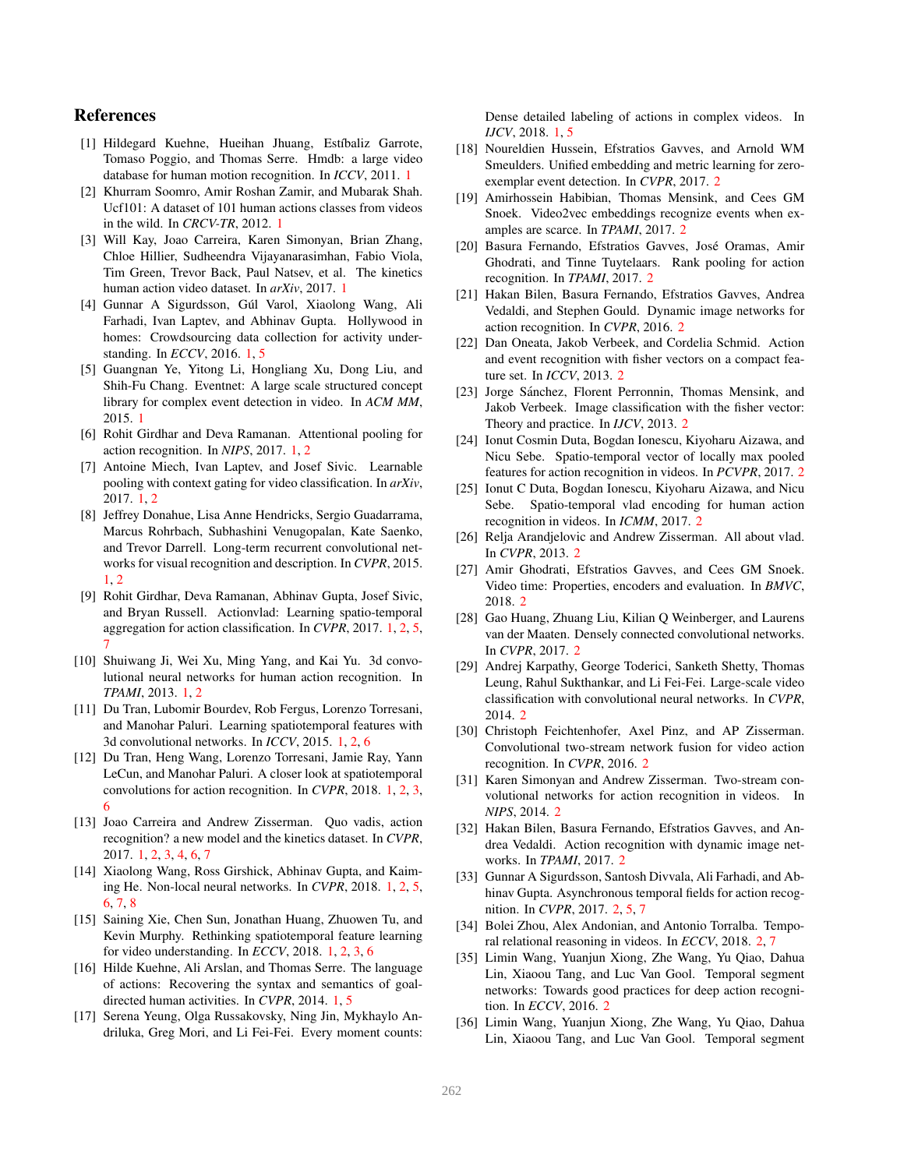# References

- [1] Hildegard Kuehne, Hueihan Jhuang, Estíbaliz Garrote, Tomaso Poggio, and Thomas Serre. Hmdb: a large video database for human motion recognition. In *ICCV*, 2011. 1
- [2] Khurram Soomro, Amir Roshan Zamir, and Mubarak Shah. Ucf101: A dataset of 101 human actions classes from videos in the wild. In *CRCV-TR*, 2012. 1
- [3] Will Kay, Joao Carreira, Karen Simonyan, Brian Zhang, Chloe Hillier, Sudheendra Vijayanarasimhan, Fabio Viola, Tim Green, Trevor Back, Paul Natsev, et al. The kinetics human action video dataset. In *arXiv*, 2017. 1
- [4] Gunnar A Sigurdsson, Gúl Varol, Xiaolong Wang, Ali Farhadi, Ivan Laptev, and Abhinav Gupta. Hollywood in homes: Crowdsourcing data collection for activity understanding. In *ECCV*, 2016. 1, 5
- [5] Guangnan Ye, Yitong Li, Hongliang Xu, Dong Liu, and Shih-Fu Chang. Eventnet: A large scale structured concept library for complex event detection in video. In *ACM MM*, 2015. 1
- [6] Rohit Girdhar and Deva Ramanan. Attentional pooling for action recognition. In *NIPS*, 2017. 1, 2
- [7] Antoine Miech, Ivan Laptev, and Josef Sivic. Learnable pooling with context gating for video classification. In *arXiv*, 2017. 1, 2
- [8] Jeffrey Donahue, Lisa Anne Hendricks, Sergio Guadarrama, Marcus Rohrbach, Subhashini Venugopalan, Kate Saenko, and Trevor Darrell. Long-term recurrent convolutional networks for visual recognition and description. In *CVPR*, 2015. 1, 2
- [9] Rohit Girdhar, Deva Ramanan, Abhinav Gupta, Josef Sivic, and Bryan Russell. Actionvlad: Learning spatio-temporal aggregation for action classification. In *CVPR*, 2017. 1, 2, 5, 7
- [10] Shuiwang Ji, Wei Xu, Ming Yang, and Kai Yu. 3d convolutional neural networks for human action recognition. In *TPAMI*, 2013. 1, 2
- [11] Du Tran, Lubomir Bourdev, Rob Fergus, Lorenzo Torresani, and Manohar Paluri. Learning spatiotemporal features with 3d convolutional networks. In *ICCV*, 2015. 1, 2, 6
- [12] Du Tran, Heng Wang, Lorenzo Torresani, Jamie Ray, Yann LeCun, and Manohar Paluri. A closer look at spatiotemporal convolutions for action recognition. In *CVPR*, 2018. 1, 2, 3, 6
- [13] Joao Carreira and Andrew Zisserman. Quo vadis, action recognition? a new model and the kinetics dataset. In *CVPR*, 2017. 1, 2, 3, 4, 6, 7
- [14] Xiaolong Wang, Ross Girshick, Abhinav Gupta, and Kaiming He. Non-local neural networks. In *CVPR*, 2018. 1, 2, 5, 6, 7, 8
- [15] Saining Xie, Chen Sun, Jonathan Huang, Zhuowen Tu, and Kevin Murphy. Rethinking spatiotemporal feature learning for video understanding. In *ECCV*, 2018. 1, 2, 3, 6
- [16] Hilde Kuehne, Ali Arslan, and Thomas Serre. The language of actions: Recovering the syntax and semantics of goaldirected human activities. In *CVPR*, 2014. 1, 5
- [17] Serena Yeung, Olga Russakovsky, Ning Jin, Mykhaylo Andriluka, Greg Mori, and Li Fei-Fei. Every moment counts:

Dense detailed labeling of actions in complex videos. In *IJCV*, 2018. 1, 5

- [18] Noureldien Hussein, Efstratios Gavves, and Arnold WM Smeulders. Unified embedding and metric learning for zeroexemplar event detection. In *CVPR*, 2017. 2
- [19] Amirhossein Habibian, Thomas Mensink, and Cees GM Snoek. Video2vec embeddings recognize events when examples are scarce. In *TPAMI*, 2017. 2
- [20] Basura Fernando, Efstratios Gavves, José Oramas, Amir Ghodrati, and Tinne Tuytelaars. Rank pooling for action recognition. In *TPAMI*, 2017. 2
- [21] Hakan Bilen, Basura Fernando, Efstratios Gavves, Andrea Vedaldi, and Stephen Gould. Dynamic image networks for action recognition. In *CVPR*, 2016. 2
- [22] Dan Oneata, Jakob Verbeek, and Cordelia Schmid. Action and event recognition with fisher vectors on a compact feature set. In *ICCV*, 2013. 2
- [23] Jorge Sánchez, Florent Perronnin, Thomas Mensink, and Jakob Verbeek. Image classification with the fisher vector: Theory and practice. In *IJCV*, 2013. 2
- [24] Ionut Cosmin Duta, Bogdan Ionescu, Kiyoharu Aizawa, and Nicu Sebe. Spatio-temporal vector of locally max pooled features for action recognition in videos. In *PCVPR*, 2017. 2
- [25] Ionut C Duta, Bogdan Ionescu, Kiyoharu Aizawa, and Nicu Sebe. Spatio-temporal vlad encoding for human action recognition in videos. In *ICMM*, 2017. 2
- [26] Relja Arandjelovic and Andrew Zisserman. All about vlad. In *CVPR*, 2013. 2
- [27] Amir Ghodrati, Efstratios Gavves, and Cees GM Snoek. Video time: Properties, encoders and evaluation. In *BMVC*, 2018. 2
- [28] Gao Huang, Zhuang Liu, Kilian Q Weinberger, and Laurens van der Maaten. Densely connected convolutional networks. In *CVPR*, 2017. 2
- [29] Andrej Karpathy, George Toderici, Sanketh Shetty, Thomas Leung, Rahul Sukthankar, and Li Fei-Fei. Large-scale video classification with convolutional neural networks. In *CVPR*, 2014. 2
- [30] Christoph Feichtenhofer, Axel Pinz, and AP Zisserman. Convolutional two-stream network fusion for video action recognition. In *CVPR*, 2016. 2
- [31] Karen Simonyan and Andrew Zisserman. Two-stream convolutional networks for action recognition in videos. In *NIPS*, 2014. 2
- [32] Hakan Bilen, Basura Fernando, Efstratios Gavves, and Andrea Vedaldi. Action recognition with dynamic image networks. In *TPAMI*, 2017. 2
- [33] Gunnar A Sigurdsson, Santosh Divvala, Ali Farhadi, and Abhinav Gupta. Asynchronous temporal fields for action recognition. In *CVPR*, 2017. 2, 5, 7
- [34] Bolei Zhou, Alex Andonian, and Antonio Torralba. Temporal relational reasoning in videos. In *ECCV*, 2018. 2, 7
- [35] Limin Wang, Yuanjun Xiong, Zhe Wang, Yu Qiao, Dahua Lin, Xiaoou Tang, and Luc Van Gool. Temporal segment networks: Towards good practices for deep action recognition. In *ECCV*, 2016. 2
- [36] Limin Wang, Yuanjun Xiong, Zhe Wang, Yu Qiao, Dahua Lin, Xiaoou Tang, and Luc Van Gool. Temporal segment